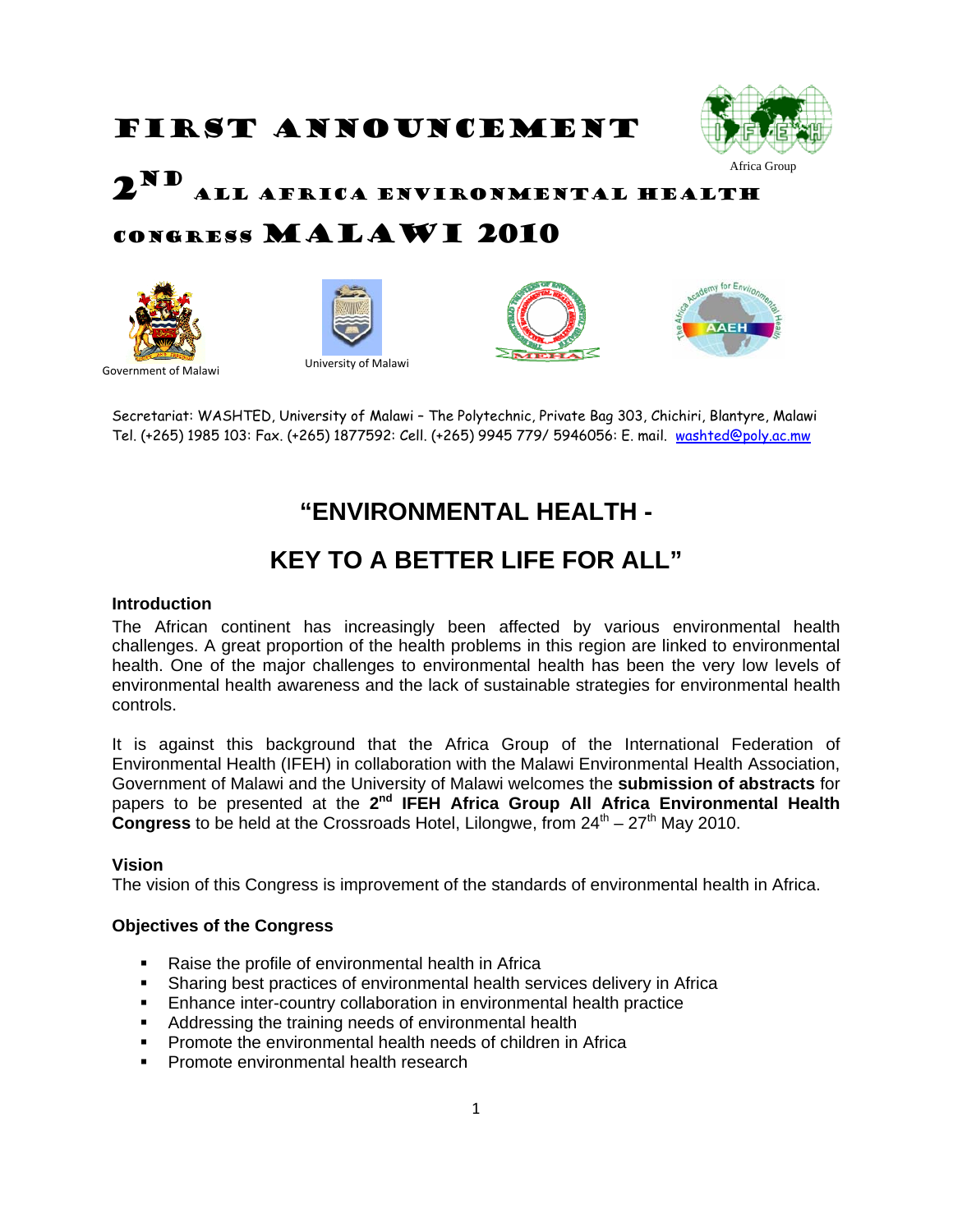# FIRST ANNOUNCEMENT



 $2^N$ All Africa Environmental Health

## Congress Malawi 2010









University of Malawi Government of Malawi

Secretariat: WASHTED, University of Malawi – The Polytechnic, Private Bag 303, Chichiri, Blantyre, Malawi Tel. (+265) 1985 103: Fax. (+265) 1877592: Cell. (+265) 9945 779/ 5946056: E. mail. [washted@poly.ac.mw](mailto:washted@poly.ac.mw)

## **"ENVIRONMENTAL HEALTH -**

## **KEY TO A BETTER LIFE FOR ALL"**

#### **Introduction**

The African continent has increasingly been affected by various environmental health challenges. A great proportion of the health problems in this region are linked to environmental health. One of the major challenges to environmental health has been the very low levels of environmental health awareness and the lack of sustainable strategies for environmental health controls.

It is against this background that the Africa Group of the International Federation of Environmental Health (IFEH) in collaboration with the Malawi Environmental Health Association, Government of Malawi and the University of Malawi welcomes the **submission of abstracts** for papers to be presented at the **2nd IFEH Africa Group All Africa Environmental Health Congress** to be held at the Crossroads Hotel, Lilongwe, from  $24<sup>th</sup> - 27<sup>th</sup>$  May 2010.

### **Vision**

The vision of this Congress is improvement of the standards of environmental health in Africa.

#### **Objectives of the Congress**

- Raise the profile of environmental health in Africa
- Sharing best practices of environmental health services delivery in Africa
- **Enhance inter-country collaboration in environmental health practice**
- Addressing the training needs of environmental health
- Promote the environmental health needs of children in Africa
- **Promote environmental health research**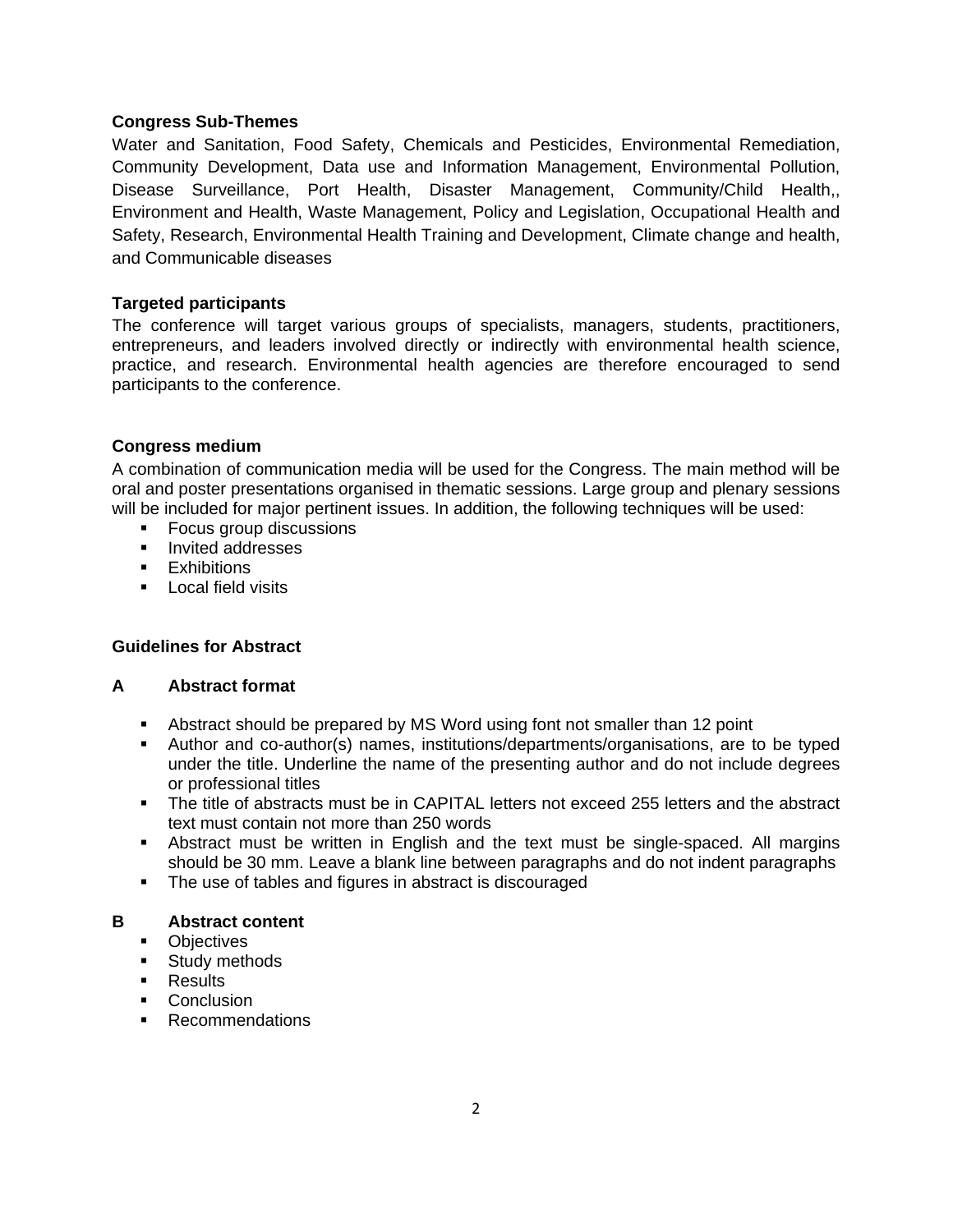#### **Congress Sub-Themes**

Water and Sanitation, Food Safety, Chemicals and Pesticides, Environmental Remediation, Community Development, Data use and Information Management, Environmental Pollution, Disease Surveillance, Port Health, Disaster Management, Community/Child Health,, Environment and Health, Waste Management, Policy and Legislation, Occupational Health and Safety, Research, Environmental Health Training and Development, Climate change and health, and Communicable diseases

#### **Targeted participants**

The conference will target various groups of specialists, managers, students, practitioners, entrepreneurs, and leaders involved directly or indirectly with environmental health science, practice, and research. Environmental health agencies are therefore encouraged to send participants to the conference.

#### **Congress medium**

A combination of communication media will be used for the Congress. The main method will be oral and poster presentations organised in thematic sessions. Large group and plenary sessions will be included for major pertinent issues. In addition, the following techniques will be used:

- **Focus group discussions**
- **Invited addresses**
- **Exhibitions**
- **Local field visits**

### **Guidelines for Abstract**

#### **A Abstract format**

- Abstract should be prepared by MS Word using font not smaller than 12 point
- Author and co-author(s) names, institutions/departments/organisations, are to be typed under the title. Underline the name of the presenting author and do not include degrees or professional titles
- The title of abstracts must be in CAPITAL letters not exceed 255 letters and the abstract text must contain not more than 250 words
- Abstract must be written in English and the text must be single-spaced. All margins should be 30 mm. Leave a blank line between paragraphs and do not indent paragraphs
- The use of tables and figures in abstract is discouraged

#### **B Abstract content**

- **Dbjectives**
- **Study methods**
- **Results**
- Conclusion
- **Recommendations**